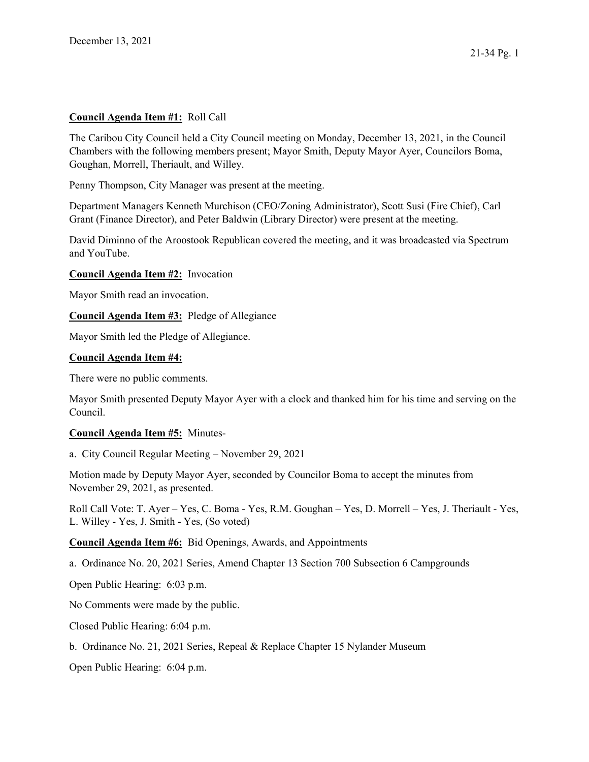## Council Agenda Item #1: Roll Call

The Caribou City Council held a City Council meeting on Monday, December 13, 2021, in the Council Chambers with the following members present; Mayor Smith, Deputy Mayor Ayer, Councilors Boma, Goughan, Morrell, Theriault, and Willey.

Penny Thompson, City Manager was present at the meeting.

Department Managers Kenneth Murchison (CEO/Zoning Administrator), Scott Susi (Fire Chief), Carl Grant (Finance Director), and Peter Baldwin (Library Director) were present at the meeting.

David Diminno of the Aroostook Republican covered the meeting, and it was broadcasted via Spectrum and YouTube.

## Council Agenda Item #2: Invocation

Mayor Smith read an invocation.

Council Agenda Item #3: Pledge of Allegiance

Mayor Smith led the Pledge of Allegiance.

#### Council Agenda Item #4:

There were no public comments.

Mayor Smith presented Deputy Mayor Ayer with a clock and thanked him for his time and serving on the Council.

## Council Agenda Item #5: Minutes-

a. City Council Regular Meeting – November 29, 2021

Motion made by Deputy Mayor Ayer, seconded by Councilor Boma to accept the minutes from November 29, 2021, as presented.

Roll Call Vote: T. Ayer – Yes, C. Boma - Yes, R.M. Goughan – Yes, D. Morrell – Yes, J. Theriault - Yes, L. Willey - Yes, J. Smith - Yes, (So voted)

Council Agenda Item #6: Bid Openings, Awards, and Appointments

a. Ordinance No. 20, 2021 Series, Amend Chapter 13 Section 700 Subsection 6 Campgrounds

Open Public Hearing: 6:03 p.m.

No Comments were made by the public.

Closed Public Hearing: 6:04 p.m.

b. Ordinance No. 21, 2021 Series, Repeal & Replace Chapter 15 Nylander Museum

Open Public Hearing: 6:04 p.m.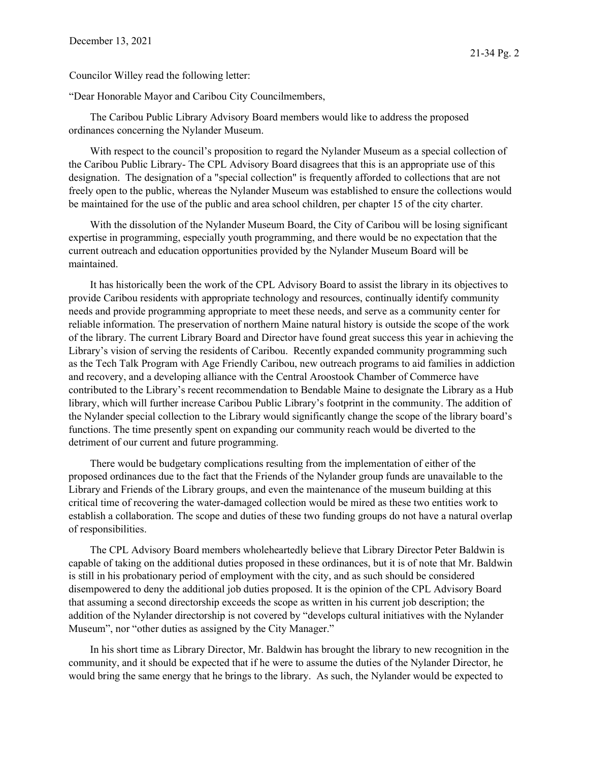"Dear Honorable Mayor and Caribou City Councilmembers,

The Caribou Public Library Advisory Board members would like to address the proposed ordinances concerning the Nylander Museum.

With respect to the council's proposition to regard the Nylander Museum as a special collection of the Caribou Public Library- The CPL Advisory Board disagrees that this is an appropriate use of this designation. The designation of a "special collection" is frequently afforded to collections that are not freely open to the public, whereas the Nylander Museum was established to ensure the collections would be maintained for the use of the public and area school children, per chapter 15 of the city charter.

With the dissolution of the Nylander Museum Board, the City of Caribou will be losing significant expertise in programming, especially youth programming, and there would be no expectation that the current outreach and education opportunities provided by the Nylander Museum Board will be maintained.

It has historically been the work of the CPL Advisory Board to assist the library in its objectives to provide Caribou residents with appropriate technology and resources, continually identify community needs and provide programming appropriate to meet these needs, and serve as a community center for reliable information. The preservation of northern Maine natural history is outside the scope of the work of the library. The current Library Board and Director have found great success this year in achieving the Library's vision of serving the residents of Caribou. Recently expanded community programming such as the Tech Talk Program with Age Friendly Caribou, new outreach programs to aid families in addiction and recovery, and a developing alliance with the Central Aroostook Chamber of Commerce have contributed to the Library's recent recommendation to Bendable Maine to designate the Library as a Hub library, which will further increase Caribou Public Library's footprint in the community. The addition of the Nylander special collection to the Library would significantly change the scope of the library board's functions. The time presently spent on expanding our community reach would be diverted to the detriment of our current and future programming.

There would be budgetary complications resulting from the implementation of either of the proposed ordinances due to the fact that the Friends of the Nylander group funds are unavailable to the Library and Friends of the Library groups, and even the maintenance of the museum building at this critical time of recovering the water-damaged collection would be mired as these two entities work to establish a collaboration. The scope and duties of these two funding groups do not have a natural overlap of responsibilities.

The CPL Advisory Board members wholeheartedly believe that Library Director Peter Baldwin is capable of taking on the additional duties proposed in these ordinances, but it is of note that Mr. Baldwin is still in his probationary period of employment with the city, and as such should be considered disempowered to deny the additional job duties proposed. It is the opinion of the CPL Advisory Board that assuming a second directorship exceeds the scope as written in his current job description; the addition of the Nylander directorship is not covered by "develops cultural initiatives with the Nylander Museum", nor "other duties as assigned by the City Manager."

In his short time as Library Director, Mr. Baldwin has brought the library to new recognition in the community, and it should be expected that if he were to assume the duties of the Nylander Director, he would bring the same energy that he brings to the library. As such, the Nylander would be expected to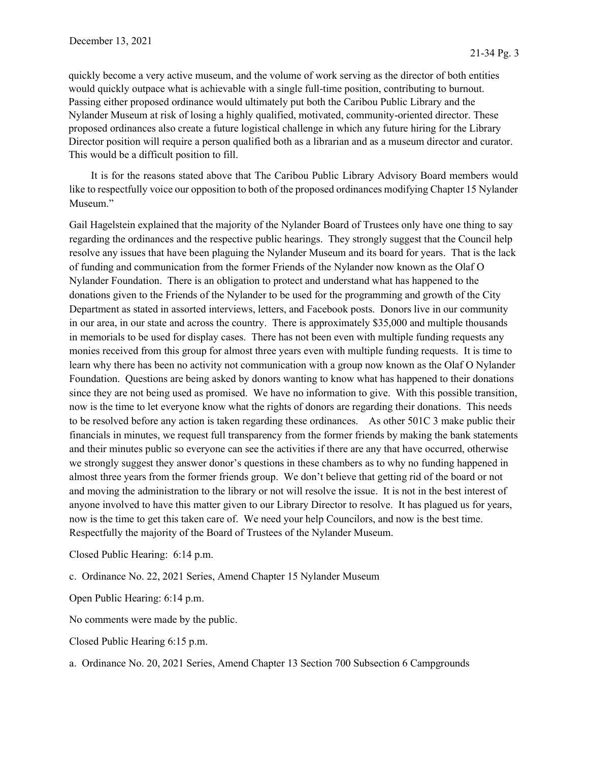quickly become a very active museum, and the volume of work serving as the director of both entities would quickly outpace what is achievable with a single full-time position, contributing to burnout. Passing either proposed ordinance would ultimately put both the Caribou Public Library and the Nylander Museum at risk of losing a highly qualified, motivated, community-oriented director. These proposed ordinances also create a future logistical challenge in which any future hiring for the Library Director position will require a person qualified both as a librarian and as a museum director and curator. This would be a difficult position to fill.

It is for the reasons stated above that The Caribou Public Library Advisory Board members would like to respectfully voice our opposition to both of the proposed ordinances modifying Chapter 15 Nylander Museum."

Gail Hagelstein explained that the majority of the Nylander Board of Trustees only have one thing to say regarding the ordinances and the respective public hearings. They strongly suggest that the Council help resolve any issues that have been plaguing the Nylander Museum and its board for years. That is the lack of funding and communication from the former Friends of the Nylander now known as the Olaf O Nylander Foundation. There is an obligation to protect and understand what has happened to the donations given to the Friends of the Nylander to be used for the programming and growth of the City Department as stated in assorted interviews, letters, and Facebook posts. Donors live in our community in our area, in our state and across the country. There is approximately \$35,000 and multiple thousands in memorials to be used for display cases. There has not been even with multiple funding requests any monies received from this group for almost three years even with multiple funding requests. It is time to learn why there has been no activity not communication with a group now known as the Olaf O Nylander Foundation. Questions are being asked by donors wanting to know what has happened to their donations since they are not being used as promised. We have no information to give. With this possible transition, now is the time to let everyone know what the rights of donors are regarding their donations. This needs to be resolved before any action is taken regarding these ordinances. As other 501C 3 make public their financials in minutes, we request full transparency from the former friends by making the bank statements and their minutes public so everyone can see the activities if there are any that have occurred, otherwise we strongly suggest they answer donor's questions in these chambers as to why no funding happened in almost three years from the former friends group. We don't believe that getting rid of the board or not and moving the administration to the library or not will resolve the issue. It is not in the best interest of anyone involved to have this matter given to our Library Director to resolve. It has plagued us for years, now is the time to get this taken care of. We need your help Councilors, and now is the best time. Respectfully the majority of the Board of Trustees of the Nylander Museum.

Closed Public Hearing: 6:14 p.m.

c. Ordinance No. 22, 2021 Series, Amend Chapter 15 Nylander Museum

Open Public Hearing: 6:14 p.m.

No comments were made by the public.

Closed Public Hearing 6:15 p.m.

a. Ordinance No. 20, 2021 Series, Amend Chapter 13 Section 700 Subsection 6 Campgrounds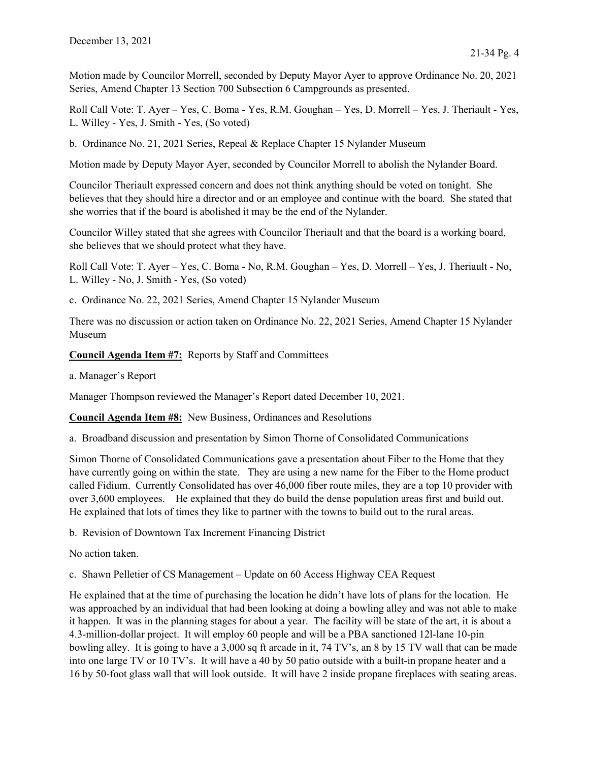Motion made by Councilor Morrell, seconded by Deputy Mayor Ayer to approve Ordinance No. 20, 2021 Series, Amend Chapter 13 Section 700 Subsection 6 Campgrounds as presented.

Roll Call Vote: T. Ayer – Yes, C. Boma - Yes, R.M. Goughan – Yes, D. Morrell – Yes, J. Theriault - Yes, L. Willey - Yes, J. Smith - Yes, (So voted)

b. Ordinance No. 21, 2021 Series, Repeal & Replace Chapter 15 Nylander Museum

Motion made by Deputy Mayor Ayer, seconded by Councilor Morrell to abolish the Nylander Board.

Councilor Theriault expressed concern and does not think anything should be voted on tonight. She believes that they should hire a director and or an employee and continue with the board. She stated that she worries that if the board is abolished it may be the end of the Nylander.

Councilor Willey stated that she agrees with Councilor Theriault and that the board is a working board, she believes that we should protect what they have.

Roll Call Vote: T. Ayer – Yes, C. Boma - No, R.M. Goughan – Yes, D. Morrell – Yes, J. Theriault - No, L. Willey - No, J. Smith - Yes, (So voted)

c. Ordinance No. 22, 2021 Series, Amend Chapter 15 Nylander Museum

There was no discussion or action taken on Ordinance No. 22, 2021 Series, Amend Chapter 15 Nylander Museum

Council Agenda Item #7: Reports by Staff and Committees

a. Manager's Report

Manager Thompson reviewed the Manager's Report dated December 10, 2021.

Council Agenda Item #8: New Business, Ordinances and Resolutions

a. Broadband discussion and presentation by Simon Thorne of Consolidated Communications

Simon Thorne of Consolidated Communications gave a presentation about Fiber to the Home that they have currently going on within the state. They are using a new name for the Fiber to the Home product called Fidium. Currently Consolidated has over 46,000 fiber route miles, they are a top 10 provider with over 3,600 employees. He explained that they do build the dense population areas first and build out. He explained that lots of times they like to partner with the towns to build out to the rural areas.

b. Revision of Downtown Tax Increment Financing District

No action taken.

c. Shawn Pelletier of CS Management – Update on 60 Access Highway CEA Request

He explained that at the time of purchasing the location he didn't have lots of plans for the location. He was approached by an individual that had been looking at doing a bowling alley and was not able to make it happen. It was in the planning stages for about a year. The facility will be state of the art, it is about a 4.3-million-dollar project. It will employ 60 people and will be a PBA sanctioned 12l-lane 10-pin bowling alley. It is going to have a 3,000 sq ft arcade in it, 74 TV's, an 8 by 15 TV wall that can be made into one large TV or 10 TV's. It will have a 40 by 50 patio outside with a built-in propane heater and a 16 by 50-foot glass wall that will look outside. It will have 2 inside propane fireplaces with seating areas.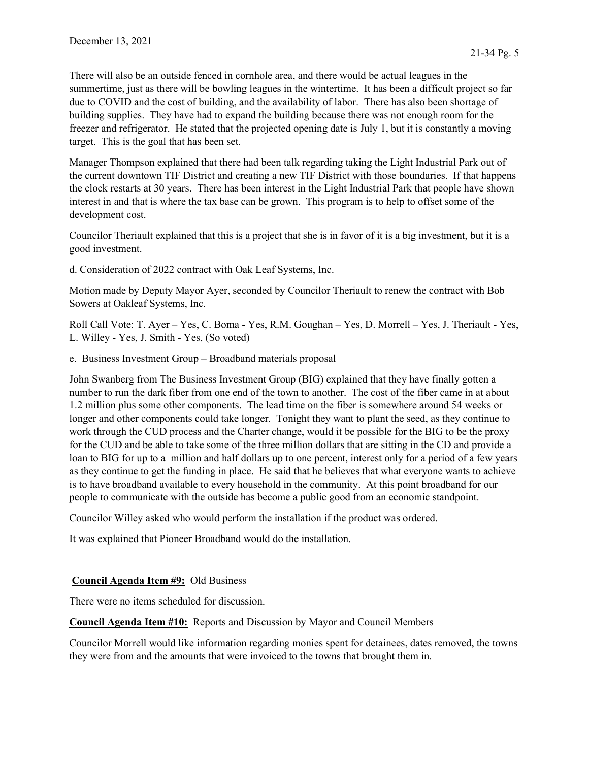There will also be an outside fenced in cornhole area, and there would be actual leagues in the summertime, just as there will be bowling leagues in the wintertime. It has been a difficult project so far due to COVID and the cost of building, and the availability of labor. There has also been shortage of building supplies. They have had to expand the building because there was not enough room for the freezer and refrigerator. He stated that the projected opening date is July 1, but it is constantly a moving target. This is the goal that has been set.

Manager Thompson explained that there had been talk regarding taking the Light Industrial Park out of the current downtown TIF District and creating a new TIF District with those boundaries. If that happens the clock restarts at 30 years. There has been interest in the Light Industrial Park that people have shown interest in and that is where the tax base can be grown. This program is to help to offset some of the development cost.

Councilor Theriault explained that this is a project that she is in favor of it is a big investment, but it is a good investment.

d. Consideration of 2022 contract with Oak Leaf Systems, Inc.

Motion made by Deputy Mayor Ayer, seconded by Councilor Theriault to renew the contract with Bob Sowers at Oakleaf Systems, Inc.

Roll Call Vote: T. Ayer – Yes, C. Boma - Yes, R.M. Goughan – Yes, D. Morrell – Yes, J. Theriault - Yes, L. Willey - Yes, J. Smith - Yes, (So voted)

e. Business Investment Group – Broadband materials proposal

John Swanberg from The Business Investment Group (BIG) explained that they have finally gotten a number to run the dark fiber from one end of the town to another. The cost of the fiber came in at about 1.2 million plus some other components. The lead time on the fiber is somewhere around 54 weeks or longer and other components could take longer. Tonight they want to plant the seed, as they continue to work through the CUD process and the Charter change, would it be possible for the BIG to be the proxy for the CUD and be able to take some of the three million dollars that are sitting in the CD and provide a loan to BIG for up to a million and half dollars up to one percent, interest only for a period of a few years as they continue to get the funding in place. He said that he believes that what everyone wants to achieve is to have broadband available to every household in the community. At this point broadband for our people to communicate with the outside has become a public good from an economic standpoint.

Councilor Willey asked who would perform the installation if the product was ordered.

It was explained that Pioneer Broadband would do the installation.

# Council Agenda Item #9: Old Business

There were no items scheduled for discussion.

Council Agenda Item #10: Reports and Discussion by Mayor and Council Members

Councilor Morrell would like information regarding monies spent for detainees, dates removed, the towns they were from and the amounts that were invoiced to the towns that brought them in.